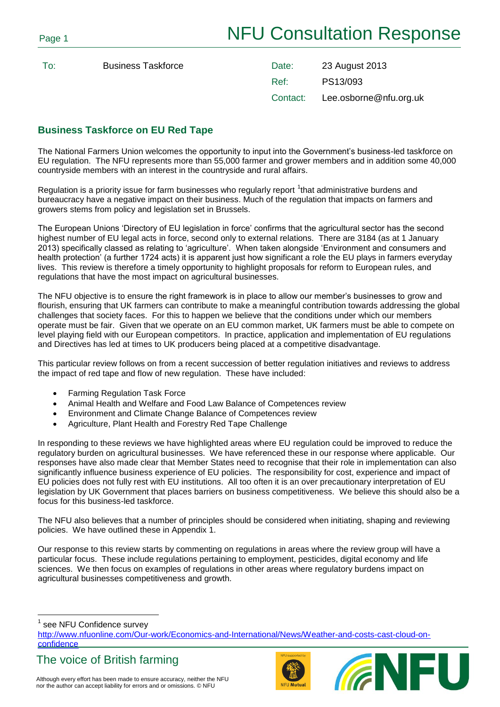To: **Business Taskforce** 

| Date:    | 23 August 2013         |
|----------|------------------------|
| Ref:     | PS13/093               |
| Contact: | Lee.osborne@nfu.org.uk |

# **Business Taskforce on EU Red Tape**

The National Farmers Union welcomes the opportunity to input into the Government's business-led taskforce on EU regulation. The NFU represents more than 55,000 farmer and grower members and in addition some 40,000 countryside members with an interest in the countryside and rural affairs.

Regulation is a priority issue for farm businesses who regularly report  $1$ that administrative burdens and bureaucracy have a negative impact on their business. Much of the regulation that impacts on farmers and growers stems from policy and legislation set in Brussels.

The European Unions 'Directory of EU legislation in force' confirms that the agricultural sector has the second highest number of EU legal acts in force, second only to external relations. There are 3184 (as at 1 January 2013) specifically classed as relating to 'agriculture'. When taken alongside 'Environment and consumers and health protection' (a further 1724 acts) it is apparent just how significant a role the EU plays in farmers everyday lives. This review is therefore a timely opportunity to highlight proposals for reform to European rules, and regulations that have the most impact on agricultural businesses.

The NFU objective is to ensure the right framework is in place to allow our member's businesses to grow and flourish, ensuring that UK farmers can contribute to make a meaningful contribution towards addressing the global challenges that society faces. For this to happen we believe that the conditions under which our members operate must be fair. Given that we operate on an EU common market, UK farmers must be able to compete on level playing field with our European competitors. In practice, application and implementation of EU regulations and Directives has led at times to UK producers being placed at a competitive disadvantage.

This particular review follows on from a recent succession of better regulation initiatives and reviews to address the impact of red tape and flow of new regulation. These have included:

- Farming Regulation Task Force
- Animal Health and Welfare and Food Law Balance of Competences review
- Environment and Climate Change Balance of Competences review
- Agriculture, Plant Health and Forestry Red Tape Challenge

In responding to these reviews we have highlighted areas where EU regulation could be improved to reduce the regulatory burden on agricultural businesses. We have referenced these in our response where applicable. Our responses have also made clear that Member States need to recognise that their role in implementation can also significantly influence business experience of EU policies. The responsibility for cost, experience and impact of EU policies does not fully rest with EU institutions. All too often it is an over precautionary interpretation of EU legislation by UK Government that places barriers on business competitiveness. We believe this should also be a focus for this business-led taskforce.

The NFU also believes that a number of principles should be considered when initiating, shaping and reviewing policies. We have outlined these in Appendix 1.

Our response to this review starts by commenting on regulations in areas where the review group will have a particular focus. These include regulations pertaining to employment, pesticides, digital economy and life sciences. We then focus on examples of regulations in other areas where regulatory burdens impact on agricultural businesses competitiveness and growth.

1 see NFU Confidence survey

 $\overline{a}$ 

[http://www.nfuonline.com/Our-work/Economics-and-International/News/Weather-and-costs-cast-cloud-on](http://www.nfuonline.com/Our-work/Economics-and-International/News/Weather-and-costs-cast-cloud-on-confidence)[confidence](http://www.nfuonline.com/Our-work/Economics-and-International/News/Weather-and-costs-cast-cloud-on-confidence)



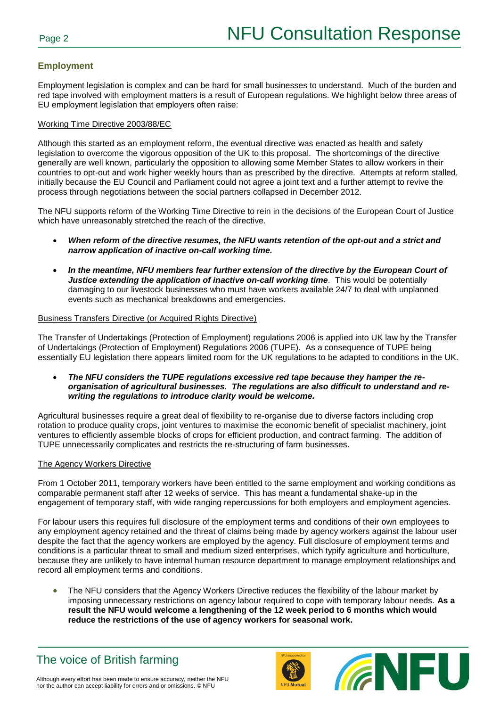# **Employment**

Employment legislation is complex and can be hard for small businesses to understand. Much of the burden and red tape involved with employment matters is a result of European regulations. We highlight below three areas of EU employment legislation that employers often raise:

## Working Time Directive 2003/88/EC

Although this started as an employment reform, the eventual directive was enacted as health and safety legislation to overcome the vigorous opposition of the UK to this proposal. The shortcomings of the directive generally are well known, particularly the opposition to allowing some Member States to allow workers in their countries to opt-out and work higher weekly hours than as prescribed by the directive. Attempts at reform stalled, initially because the EU Council and Parliament could not agree a joint text and a further attempt to revive the process through negotiations between the social partners collapsed in December 2012.

The NFU supports reform of the Working Time Directive to rein in the decisions of the European Court of Justice which have unreasonably stretched the reach of the directive.

- *When reform of the directive resumes, the NFU wants retention of the opt-out and a strict and narrow application of inactive on-call working time.*
- *In the meantime, NFU members fear further extension of the directive by the European Court of Justice extending the application of inactive on-call working time.* **This would be potentially** damaging to our livestock businesses who must have workers available 24/7 to deal with unplanned events such as mechanical breakdowns and emergencies.

### Business Transfers Directive (or Acquired Rights Directive)

The Transfer of Undertakings (Protection of Employment) regulations 2006 is applied into UK law by the Transfer of Undertakings (Protection of Employment) Regulations 2006 (TUPE). As a consequence of TUPE being essentially EU legislation there appears limited room for the UK regulations to be adapted to conditions in the UK.

 *The NFU considers the TUPE regulations excessive red tape because they hamper the reorganisation of agricultural businesses. The regulations are also difficult to understand and rewriting the regulations to introduce clarity would be welcome.*

Agricultural businesses require a great deal of flexibility to re-organise due to diverse factors including crop rotation to produce quality crops, joint ventures to maximise the economic benefit of specialist machinery, joint ventures to efficiently assemble blocks of crops for efficient production, and contract farming. The addition of TUPE unnecessarily complicates and restricts the re-structuring of farm businesses.

#### The Agency Workers Directive

From 1 October 2011, temporary workers have been entitled to the same employment and working conditions as comparable permanent staff after 12 weeks of service. This has meant a fundamental shake-up in the engagement of temporary staff, with wide ranging repercussions for both employers and employment agencies.

For labour users this requires full disclosure of the employment terms and conditions of their own employees to any employment agency retained and the threat of claims being made by agency workers against the labour user despite the fact that the agency workers are employed by the agency. Full disclosure of employment terms and conditions is a particular threat to small and medium sized enterprises, which typify agriculture and horticulture, because they are unlikely to have internal human resource department to manage employment relationships and record all employment terms and conditions.

• The NFU considers that the Agency Workers Directive reduces the flexibility of the labour market by imposing unnecessary restrictions on agency labour required to cope with temporary labour needs. **As a result the NFU would welcome a lengthening of the 12 week period to 6 months which would reduce the restrictions of the use of agency workers for seasonal work.**



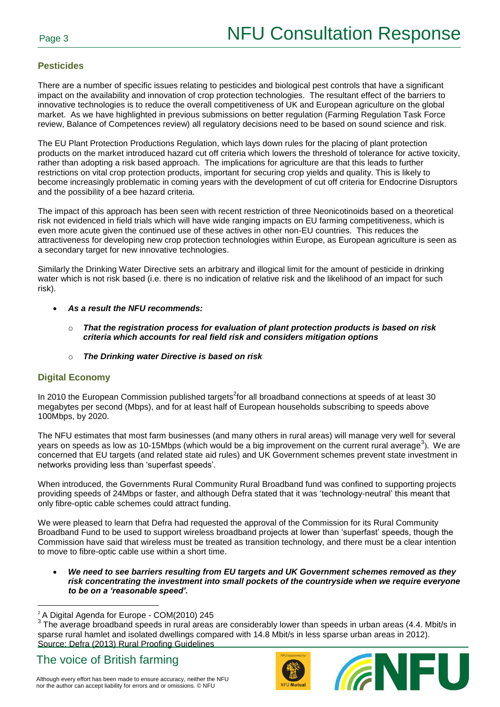# **Pesticides**

There are a number of specific issues relating to pesticides and biological pest controls that have a significant impact on the availability and innovation of crop protection technologies. The resultant effect of the barriers to innovative technologies is to reduce the overall competitiveness of UK and European agriculture on the global market. As we have highlighted in previous submissions on better regulation (Farming Regulation Task Force review, Balance of Competences review) all regulatory decisions need to be based on sound science and risk.

The EU Plant Protection Productions Regulation, which lays down rules for the placing of plant protection products on the market introduced hazard cut off criteria which lowers the threshold of tolerance for active toxicity, rather than adopting a risk based approach. The implications for agriculture are that this leads to further restrictions on vital crop protection products, important for securing crop yields and quality. This is likely to become increasingly problematic in coming years with the development of cut off criteria for Endocrine Disruptors and the possibility of a bee hazard criteria.

The impact of this approach has been seen with recent restriction of three Neonicotinoids based on a theoretical risk not evidenced in field trials which will have wide ranging impacts on EU farming competitiveness, which is even more acute given the continued use of these actives in other non-EU countries. This reduces the attractiveness for developing new crop protection technologies within Europe, as European agriculture is seen as a secondary target for new innovative technologies.

Similarly the Drinking Water Directive sets an arbitrary and illogical limit for the amount of pesticide in drinking water which is not risk based (i.e. there is no indication of relative risk and the likelihood of an impact for such risk).

- *As a result the NFU recommends:*
	- o *That the registration process for evaluation of plant protection products is based on risk criteria which accounts for real field risk and considers mitigation options*
	- o *The Drinking water Directive is based on risk*

## **Digital Economy**

 $\overline{a}$ 

In 2010 the European Commission published targets<sup>2</sup>for all broadband connections at speeds of at least 30 megabytes per second (Mbps), and for at least half of European households subscribing to speeds above 100Mbps, by 2020.

The NFU estimates that most farm businesses (and many others in rural areas) will manage very well for several years on speeds as low as 10-15Mbps (which would be a big improvement on the current rural average<sup>3</sup>). We are concerned that EU targets (and related state aid rules) and UK Government schemes prevent state investment in networks providing less than 'superfast speeds'.

When introduced, the Governments Rural Community Rural Broadband fund was confined to supporting projects providing speeds of 24Mbps or faster, and although Defra stated that it was 'technology-neutral' this meant that only fibre-optic cable schemes could attract funding.

We were pleased to learn that Defra had requested the approval of the Commission for its Rural Community Broadband Fund to be used to support wireless broadband projects at lower than 'superfast' speeds, though the Commission have said that wireless must be treated as transition technology, and there must be a clear intention to move to fibre-optic cable use within a short time.

 *We need to see barriers resulting from EU targets and UK Government schemes removed as they risk concentrating the investment into small pockets of the countryside when we require everyone to be on a 'reasonable speed'.*





<sup>&</sup>lt;sup>2</sup> A Digital Agenda for Europe - COM(2010) 245

 $3$  The average broadband speeds in rural areas are considerably lower than speeds in urban areas (4.4. Mbit/s in sparse rural hamlet and isolated dwellings compared with 14.8 Mbit/s in less sparse urban areas in 2012). Source: Defra (2013) Rural Proofing Guidelines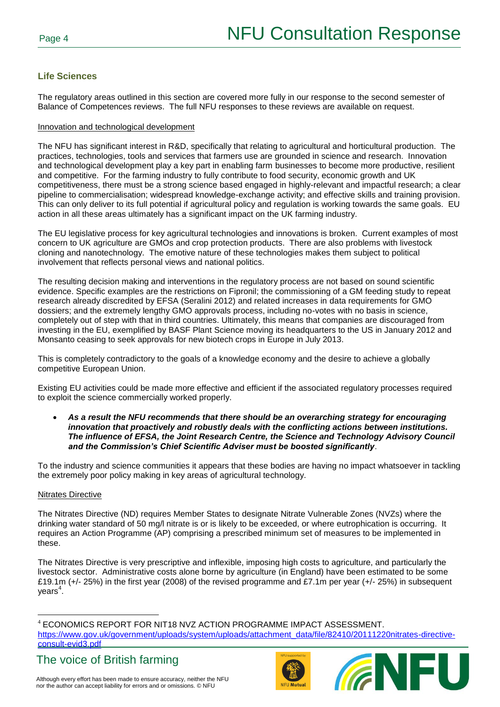# **Life Sciences**

The regulatory areas outlined in this section are covered more fully in our response to the second semester of Balance of Competences reviews. The full NFU responses to these reviews are available on request.

### Innovation and technological development

The NFU has significant interest in R&D, specifically that relating to agricultural and horticultural production. The practices, technologies, tools and services that farmers use are grounded in science and research. Innovation and technological development play a key part in enabling farm businesses to become more productive, resilient and competitive. For the farming industry to fully contribute to food security, economic growth and UK competitiveness, there must be a strong science based engaged in highly-relevant and impactful research; a clear pipeline to commercialisation; widespread knowledge-exchange activity; and effective skills and training provision. This can only deliver to its full potential if agricultural policy and regulation is working towards the same goals. EU action in all these areas ultimately has a significant impact on the UK farming industry.

The EU legislative process for key agricultural technologies and innovations is broken. Current examples of most concern to UK agriculture are GMOs and crop protection products. There are also problems with livestock cloning and nanotechnology. The emotive nature of these technologies makes them subject to political involvement that reflects personal views and national politics.

The resulting decision making and interventions in the regulatory process are not based on sound scientific evidence. Specific examples are the restrictions on Fipronil; the commissioning of a GM feeding study to repeat research already discredited by EFSA (Seralini 2012) and related increases in data requirements for GMO dossiers; and the extremely lengthy GMO approvals process, including no-votes with no basis in science, completely out of step with that in third countries. Ultimately, this means that companies are discouraged from investing in the EU, exemplified by BASF Plant Science moving its headquarters to the US in January 2012 and Monsanto ceasing to seek approvals for new biotech crops in Europe in July 2013.

This is completely contradictory to the goals of a knowledge economy and the desire to achieve a globally competitive European Union.

Existing EU activities could be made more effective and efficient if the associated regulatory processes required to exploit the science commercially worked properly.

 *As a result the NFU recommends that there should be an overarching strategy for encouraging innovation that proactively and robustly deals with the conflicting actions between institutions. The influence of EFSA, the Joint Research Centre, the Science and Technology Advisory Council and the Commission's Chief Scientific Adviser must be boosted significantly*.

To the industry and science communities it appears that these bodies are having no impact whatsoever in tackling the extremely poor policy making in key areas of agricultural technology.

## Nitrates Directive

The Nitrates Directive (ND) requires Member States to designate Nitrate Vulnerable Zones (NVZs) where the drinking water standard of 50 mg/l nitrate is or is likely to be exceeded, or where eutrophication is occurring. It requires an Action Programme (AP) comprising a prescribed minimum set of measures to be implemented in these.

The Nitrates Directive is very prescriptive and inflexible, imposing high costs to agriculture, and particularly the livestock sector. Administrative costs alone borne by agriculture (in England) have been estimated to be some £19.1m (+/- 25%) in the first year (2008) of the revised programme and £7.1m per year (+/- 25%) in subsequent years<sup>4</sup>.

 $\overline{a}$ <sup>4</sup> ECONOMICS REPORT FOR NIT18 NVZ ACTION PROGRAMME IMPACT ASSESSMENT. [https://www.gov.uk/government/uploads/system/uploads/attachment\\_data/file/82410/20111220nitrates-directive](https://www.gov.uk/government/uploads/system/uploads/attachment_data/file/82410/20111220nitrates-directive-consult-evid3.pdf)[consult-evid3.pdf](https://www.gov.uk/government/uploads/system/uploads/attachment_data/file/82410/20111220nitrates-directive-consult-evid3.pdf)





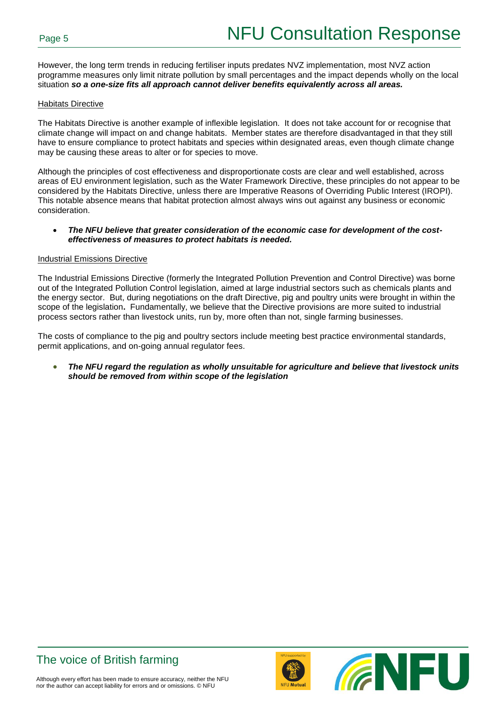However, the long term trends in reducing fertiliser inputs predates NVZ implementation, most NVZ action programme measures only limit nitrate pollution by small percentages and the impact depends wholly on the local situation *so a one-size fits all approach cannot deliver benefits equivalently across all areas.* 

### Habitats Directive

The Habitats Directive is another example of inflexible legislation. It does not take account for or recognise that climate change will impact on and change habitats. Member states are therefore disadvantaged in that they still have to ensure compliance to protect habitats and species within designated areas, even though climate change may be causing these areas to alter or for species to move.

Although the principles of cost effectiveness and disproportionate costs are clear and well established, across areas of EU environment legislation, such as the Water Framework Directive, these principles do not appear to be considered by the Habitats Directive, unless there are Imperative Reasons of Overriding Public Interest (IROPI). This notable absence means that habitat protection almost always wins out against any business or economic consideration.

#### *The NFU believe that greater consideration of the economic case for development of the costeffectiveness of measures to protect habitats is needed.*

#### Industrial Emissions Directive

The Industrial Emissions Directive (formerly the Integrated Pollution Prevention and Control Directive) was borne out of the Integrated Pollution Control legislation, aimed at large industrial sectors such as chemicals plants and the energy sector. But, during negotiations on the draft Directive, pig and poultry units were brought in within the scope of the legislation**.** Fundamentally, we believe that the Directive provisions are more suited to industrial process sectors rather than livestock units, run by, more often than not, single farming businesses.

The costs of compliance to the pig and poultry sectors include meeting best practice environmental standards, permit applications, and on-going annual regulator fees.

 *The NFU regard the regulation as wholly unsuitable for agriculture and believe that livestock units should be removed from within scope of the legislation*





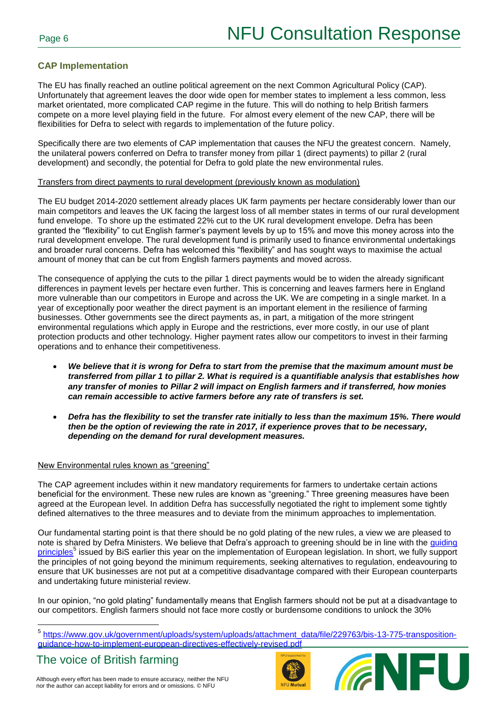# **CAP Implementation**

The EU has finally reached an outline political agreement on the next Common Agricultural Policy (CAP). Unfortunately that agreement leaves the door wide open for member states to implement a less common, less market orientated, more complicated CAP regime in the future. This will do nothing to help British farmers compete on a more level playing field in the future. For almost every element of the new CAP, there will be flexibilities for Defra to select with regards to implementation of the future policy.

Specifically there are two elements of CAP implementation that causes the NFU the greatest concern. Namely, the unilateral powers conferred on Defra to transfer money from pillar 1 (direct payments) to pillar 2 (rural development) and secondly, the potential for Defra to gold plate the new environmental rules.

## Transfers from direct payments to rural development (previously known as modulation)

The EU budget 2014-2020 settlement already places UK farm payments per hectare considerably lower than our main competitors and leaves the UK facing the largest loss of all member states in terms of our rural development fund envelope. To shore up the estimated 22% cut to the UK rural development envelope. Defra has been granted the "flexibility" to cut English farmer's payment levels by up to 15% and move this money across into the rural development envelope. The rural development fund is primarily used to finance environmental undertakings and broader rural concerns. Defra has welcomed this "flexibility" and has sought ways to maximise the actual amount of money that can be cut from English farmers payments and moved across.

The consequence of applying the cuts to the pillar 1 direct payments would be to widen the already significant differences in payment levels per hectare even further. This is concerning and leaves farmers here in England more vulnerable than our competitors in Europe and across the UK. We are competing in a single market. In a year of exceptionally poor weather the direct payment is an important element in the resilience of farming businesses. Other governments see the direct payments as, in part, a mitigation of the more stringent environmental regulations which apply in Europe and the restrictions, ever more costly, in our use of plant protection products and other technology. Higher payment rates allow our competitors to invest in their farming operations and to enhance their competitiveness.

- *We believe that it is wrong for Defra to start from the premise that the maximum amount must be transferred from pillar 1 to pillar 2. What is required is a quantifiable analysis that establishes how any transfer of monies to Pillar 2 will impact on English farmers and if transferred, how monies can remain accessible to active farmers before any rate of transfers is set.*
- *Defra has the flexibility to set the transfer rate initially to less than the maximum 15%. There would then be the option of reviewing the rate in 2017, if experience proves that to be necessary, depending on the demand for rural development measures.*

## New Environmental rules known as "greening"

The CAP agreement includes within it new mandatory requirements for farmers to undertake certain actions beneficial for the environment. These new rules are known as "greening." Three greening measures have been agreed at the European level. In addition Defra has successfully negotiated the right to implement some tightly defined alternatives to the three measures and to deviate from the minimum approaches to implementation.

Our fundamental starting point is that there should be no gold plating of the new rules, a view we are pleased to note is shared by Defra Ministers. We believe that Defra's approach to greening should be in line with the [guiding](https://www.gov.uk/government/uploads/system/uploads/attachment_data/file/229763/bis-13-775-transposition-guidance-how-to-implement-european-directives-effectively-revised.pdf)  [principles](https://www.gov.uk/government/uploads/system/uploads/attachment_data/file/229763/bis-13-775-transposition-guidance-how-to-implement-european-directives-effectively-revised.pdf)<sup>5</sup> issued by BiS earlier this year on the implementation of European legislation. In short, we fully support the principles of not going beyond the minimum requirements, seeking alternatives to regulation, endeavouring to ensure that UK businesses are not put at a competitive disadvantage compared with their European counterparts and undertaking future ministerial review.

In our opinion, "no gold plating" fundamentally means that English farmers should not be put at a disadvantage to our competitors. English farmers should not face more costly or burdensome conditions to unlock the 30%

The voice of British farming

 $\overline{a}$ 





<sup>&</sup>lt;sup>5</sup> [https://www.gov.uk/government/uploads/system/uploads/attachment\\_data/file/229763/bis-13-775-transposition](https://www.gov.uk/government/uploads/system/uploads/attachment_data/file/229763/bis-13-775-transposition-guidance-how-to-implement-european-directives-effectively-revised.pdf)[guidance-how-to-implement-european-directives-effectively-revised.pdf](https://www.gov.uk/government/uploads/system/uploads/attachment_data/file/229763/bis-13-775-transposition-guidance-how-to-implement-european-directives-effectively-revised.pdf)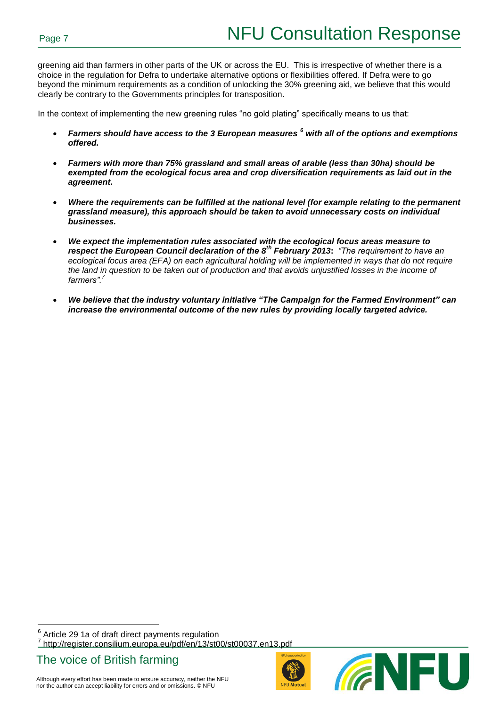greening aid than farmers in other parts of the UK or across the EU. This is irrespective of whether there is a choice in the regulation for Defra to undertake alternative options or flexibilities offered. If Defra were to go beyond the minimum requirements as a condition of unlocking the 30% greening aid, we believe that this would clearly be contrary to the Governments principles for transposition.

In the context of implementing the new greening rules "no gold plating" specifically means to us that:

- *Farmers should have access to the 3 European measures <sup>6</sup> with all of the options and exemptions offered.*
- *Farmers with more than 75% grassland and small areas of arable (less than 30ha) should be exempted from the ecological focus area and crop diversification requirements as laid out in the agreement.*
- *Where the requirements can be fulfilled at the national level (for example relating to the permanent grassland measure), this approach should be taken to avoid unnecessary costs on individual businesses.*
- *We expect the implementation rules associated with the ecological focus areas measure to respect the European Council declaration of the 8th February 2013***:** *"The requirement to have an ecological focus area (EFA) on each agricultural holding will be implemented in ways that do not require the land in question to be taken out of production and that avoids unjustified losses in the income of farmers".<sup>7</sup>*
- *We believe that the industry voluntary initiative "The Campaign for the Farmed Environment" can increase the environmental outcome of the new rules by providing locally targeted advice.*

 $6$  Article 29 1a of draft direct payments regulation 7 http://register.consilium.europa.eu/pdf/en/13/st00/st00037.en13.pdf

The voice of British farming

 $\overline{a}$ 



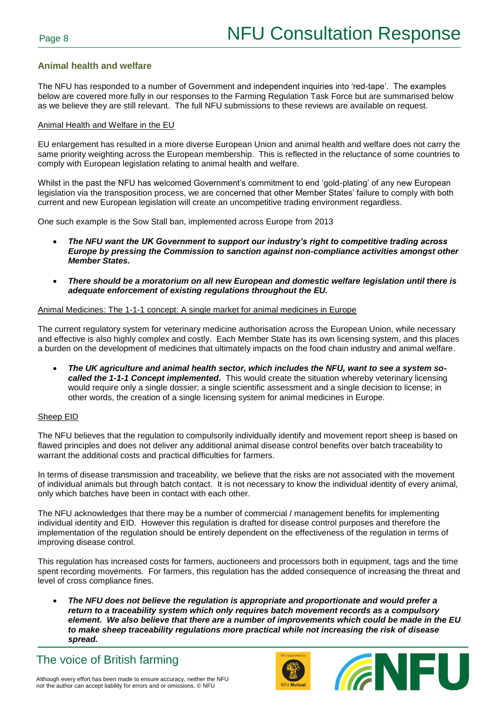## **Animal health and welfare**

The NFU has responded to a number of Government and independent inquiries into 'red-tape'. The examples below are covered more fully in our responses to the Farming Regulation Task Force but are summarised below as we believe they are still relevant. The full NFU submissions to these reviews are available on request.

#### Animal Health and Welfare in the EU

EU enlargement has resulted in a more diverse European Union and animal health and welfare does not carry the same priority weighting across the European membership. This is reflected in the reluctance of some countries to comply with European legislation relating to animal health and welfare.

Whilst in the past the NFU has welcomed Government's commitment to end 'gold-plating' of any new European legislation via the transposition process, we are concerned that other Member States' failure to comply with both current and new European legislation will create an uncompetitive trading environment regardless.

One such example is the Sow Stall ban, implemented across Europe from 2013

- *The NFU want the UK Government to support our industry's right to competitive trading across Europe by pressing the Commission to sanction against non-compliance activities amongst other Member States.*
- *There should be a moratorium on all new European and domestic welfare legislation until there is adequate enforcement of existing regulations throughout the EU.*

#### Animal Medicines: The 1-1-1 concept: A single market for animal medicines in Europe

The current regulatory system for veterinary medicine authorisation across the European Union, while necessary and effective is also highly complex and costly. Each Member State has its own licensing system, and this places a burden on the development of medicines that ultimately impacts on the food chain industry and animal welfare.

 *The UK agriculture and animal health sector, which includes the NFU, want to see a system socalled the 1-1-1 Concept implemented.* This would create the situation whereby veterinary licensing would require only a single dossier; a single scientific assessment and a single decision to license; in other words, the creation of a single licensing system for animal medicines in Europe.

## Sheep EID

The NFU believes that the regulation to compulsorily individually identify and movement report sheep is based on flawed principles and does not deliver any additional animal disease control benefits over batch traceability to warrant the additional costs and practical difficulties for farmers.

In terms of disease transmission and traceability, we believe that the risks are not associated with the movement of individual animals but through batch contact. It is not necessary to know the individual identity of every animal, only which batches have been in contact with each other.

The NFU acknowledges that there may be a number of commercial / management benefits for implementing individual identity and EID. However this regulation is drafted for disease control purposes and therefore the implementation of the regulation should be entirely dependent on the effectiveness of the regulation in terms of improving disease control.

This regulation has increased costs for farmers, auctioneers and processors both in equipment, tags and the time spent recording movements. For farmers, this regulation has the added consequence of increasing the threat and level of cross compliance fines.

 *The NFU does not believe the regulation is appropriate and proportionate and would prefer a return to a traceability system which only requires batch movement records as a compulsory element. We also believe that there are a number of improvements which could be made in the EU to make sheep traceability regulations more practical while not increasing the risk of disease spread.*





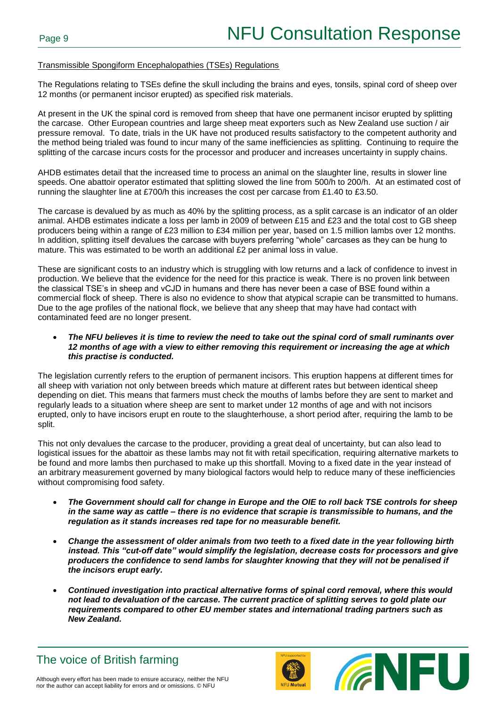## Transmissible Spongiform Encephalopathies (TSEs) Regulations

The Regulations relating to TSEs define the skull including the brains and eyes, tonsils, spinal cord of sheep over 12 months (or permanent incisor erupted) as specified risk materials.

At present in the UK the spinal cord is removed from sheep that have one permanent incisor erupted by splitting the carcase. Other European countries and large sheep meat exporters such as New Zealand use suction / air pressure removal. To date, trials in the UK have not produced results satisfactory to the competent authority and the method being trialed was found to incur many of the same inefficiencies as splitting. Continuing to require the splitting of the carcase incurs costs for the processor and producer and increases uncertainty in supply chains.

AHDB estimates detail that the increased time to process an animal on the slaughter line, results in slower line speeds. One abattoir operator estimated that splitting slowed the line from 500/h to 200/h. At an estimated cost of running the slaughter line at £700/h this increases the cost per carcase from £1.40 to £3.50.

The carcase is devalued by as much as 40% by the splitting process, as a split carcase is an indicator of an older animal. AHDB estimates indicate a loss per lamb in 2009 of between £15 and £23 and the total cost to GB sheep producers being within a range of £23 million to £34 million per year, based on 1.5 million lambs over 12 months. In addition, splitting itself devalues the carcase with buyers preferring "whole" carcases as they can be hung to mature. This was estimated to be worth an additional £2 per animal loss in value.

These are significant costs to an industry which is struggling with low returns and a lack of confidence to invest in production. We believe that the evidence for the need for this practice is weak. There is no proven link between the classical TSE's in sheep and vCJD in humans and there has never been a case of BSE found within a commercial flock of sheep. There is also no evidence to show that atypical scrapie can be transmitted to humans. Due to the age profiles of the national flock, we believe that any sheep that may have had contact with contaminated feed are no longer present.

### *The NFU believes it is time to review the need to take out the spinal cord of small ruminants over 12 months of age with a view to either removing this requirement or increasing the age at which this practise is conducted.*

The legislation currently refers to the eruption of permanent incisors. This eruption happens at different times for all sheep with variation not only between breeds which mature at different rates but between identical sheep depending on diet. This means that farmers must check the mouths of lambs before they are sent to market and regularly leads to a situation where sheep are sent to market under 12 months of age and with not incisors erupted, only to have incisors erupt en route to the slaughterhouse, a short period after, requiring the lamb to be split.

This not only devalues the carcase to the producer, providing a great deal of uncertainty, but can also lead to logistical issues for the abattoir as these lambs may not fit with retail specification, requiring alternative markets to be found and more lambs then purchased to make up this shortfall. Moving to a fixed date in the year instead of an arbitrary measurement governed by many biological factors would help to reduce many of these inefficiencies without compromising food safety.

- *The Government should call for change in Europe and the OIE to roll back TSE controls for sheep in the same way as cattle – there is no evidence that scrapie is transmissible to humans, and the regulation as it stands increases red tape for no measurable benefit.*
- *Change the assessment of older animals from two teeth to a fixed date in the year following birth instead. This "cut-off date" would simplify the legislation, decrease costs for processors and give producers the confidence to send lambs for slaughter knowing that they will not be penalised if the incisors erupt early.*
- *Continued investigation into practical alternative forms of spinal cord removal, where this would not lead to devaluation of the carcase. The current practice of splitting serves to gold plate our requirements compared to other EU member states and international trading partners such as New Zealand.*



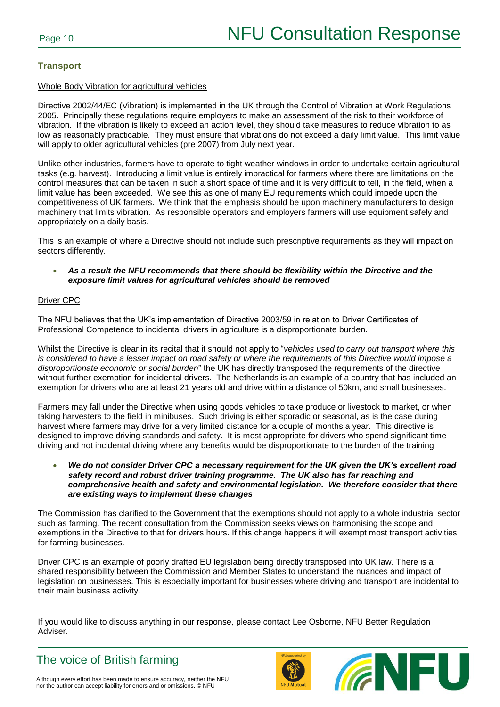## **Transport**

### Whole Body Vibration for agricultural vehicles

Directive 2002/44/EC (Vibration) is implemented in the UK through the Control of Vibration at Work Regulations 2005. Principally these regulations require employers to make an assessment of the risk to their workforce of vibration. If the vibration is likely to exceed an action level, they should take measures to reduce vibration to as low as reasonably practicable. They must ensure that vibrations do not exceed a daily limit value. This limit value will apply to older agricultural vehicles (pre 2007) from July next year.

Unlike other industries, farmers have to operate to tight weather windows in order to undertake certain agricultural tasks (e.g. harvest). Introducing a limit value is entirely impractical for farmers where there are limitations on the control measures that can be taken in such a short space of time and it is very difficult to tell, in the field, when a limit value has been exceeded. We see this as one of many EU requirements which could impede upon the competitiveness of UK farmers. We think that the emphasis should be upon machinery manufacturers to design machinery that limits vibration. As responsible operators and employers farmers will use equipment safely and appropriately on a daily basis.

This is an example of where a Directive should not include such prescriptive requirements as they will impact on sectors differently.

 *As a result the NFU recommends that there should be flexibility within the Directive and the exposure limit values for agricultural vehicles should be removed*

## Driver CPC

The NFU believes that the UK's implementation of Directive 2003/59 in relation to Driver Certificates of Professional Competence to incidental drivers in agriculture is a disproportionate burden.

Whilst the Directive is clear in its recital that it should not apply to "*vehicles used to carry out transport where this is considered to have a lesser impact on road safety or where the requirements of this Directive would impose a disproportionate economic or social burden*" the UK has directly transposed the requirements of the directive without further exemption for incidental drivers. The Netherlands is an example of a country that has included an exemption for drivers who are at least 21 years old and drive within a distance of 50km, and small businesses.

Farmers may fall under the Directive when using goods vehicles to take produce or livestock to market, or when taking harvesters to the field in minibuses. Such driving is either sporadic or seasonal, as is the case during harvest where farmers may drive for a very limited distance for a couple of months a year. This directive is designed to improve driving standards and safety. It is most appropriate for drivers who spend significant time driving and not incidental driving where any benefits would be disproportionate to the burden of the training

 *We do not consider Driver CPC a necessary requirement for the UK given the UK's excellent road safety record and robust driver training programme. The UK also has far reaching and comprehensive health and safety and environmental legislation. We therefore consider that there are existing ways to implement these changes*

The Commission has clarified to the Government that the exemptions should not apply to a whole industrial sector such as farming. The recent consultation from the Commission seeks views on harmonising the scope and exemptions in the Directive to that for drivers hours. If this change happens it will exempt most transport activities for farming businesses.

Driver CPC is an example of poorly drafted EU legislation being directly transposed into UK law. There is a shared responsibility between the Commission and Member States to understand the nuances and impact of legislation on businesses. This is especially important for businesses where driving and transport are incidental to their main business activity.

If you would like to discuss anything in our response, please contact Lee Osborne, NFU Better Regulation Adviser.